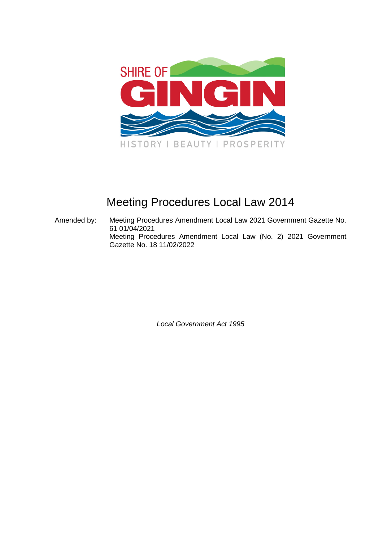

# Meeting Procedures Local Law 2014

Amended by: Meeting Procedures Amendment Local Law 2021 Government Gazette No. 61 01/04/2021 Meeting Procedures Amendment Local Law (No. 2) 2021 Government Gazette No. 18 11/02/2022

*Local Government Act 1995*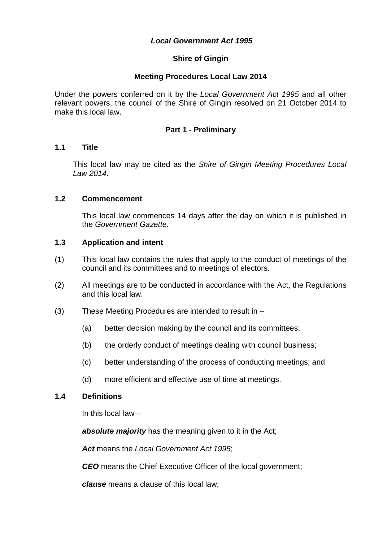# *Local Government Act 1995*

# **Shire of Gingin**

### **Meeting Procedures Local Law 2014**

Under the powers conferred on it by the *Local Government Act 1995* and all other relevant powers, the council of the Shire of Gingin resolved on 21 October 2014 to make this local law.

### **Part 1 - Preliminary**

#### **1.1 Title**

This local law may be cited as the *Shire of Gingin Meeting Procedures Local Law 2014*.

#### **1.2 Commencement**

This local law commences 14 days after the day on which it is published in the *Government Gazette*.

#### **1.3 Application and intent**

- (1) This local law contains the rules that apply to the conduct of meetings of the council and its committees and to meetings of electors.
- (2) All meetings are to be conducted in accordance with the Act, the Regulations and this local law.
- (3) These Meeting Procedures are intended to result in
	- (a) better decision making by the council and its committees;
	- (b) the orderly conduct of meetings dealing with council business;
	- (c) better understanding of the process of conducting meetings; and
	- (d) more efficient and effective use of time at meetings.

#### **1.4 Definitions**

In this local law –

*absolute majority* has the meaning given to it in the Act;

*Act* means the *Local Government Act 1995*;

*CEO* means the Chief Executive Officer of the local government;

*clause* means a clause of this local law;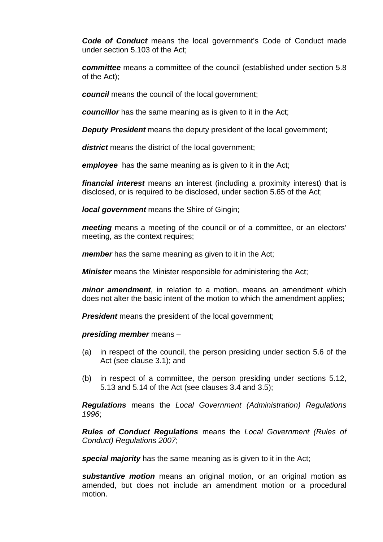**Code of Conduct** means the local government's Code of Conduct made under section 5.103 of the Act;

*committee* means a committee of the council (established under section 5.8 of the Act);

*council* means the council of the local government;

*councillor* has the same meaning as is given to it in the Act;

**Deputy President** means the deputy president of the local government;

*district* means the district of the local government;

*employee* has the same meaning as is given to it in the Act;

*financial interest* means an interest (including a proximity interest) that is disclosed, or is required to be disclosed, under section 5.65 of the Act;

*local government* means the Shire of Gingin;

*meeting* means a meeting of the council or of a committee, or an electors' meeting, as the context requires:

*member* has the same meaning as given to it in the Act;

*Minister* means the Minister responsible for administering the Act;

*minor amendment*, in relation to a motion, means an amendment which does not alter the basic intent of the motion to which the amendment applies;

**President** means the president of the local government;

*presiding member* means –

- (a) in respect of the council, the person presiding under section 5.6 of the Act (see clause 3.1); and
- (b) in respect of a committee, the person presiding under sections 5.12, 5.13 and 5.14 of the Act (see clauses 3.4 and 3.5);

*Regulations* means the *Local Government (Administration) Regulations 1996*;

*Rules of Conduct Regulations* means the *Local Government (Rules of Conduct) Regulations 2007*;

**special majority** has the same meaning as is given to it in the Act:

*substantive motion* means an original motion, or an original motion as amended, but does not include an amendment motion or a procedural motion.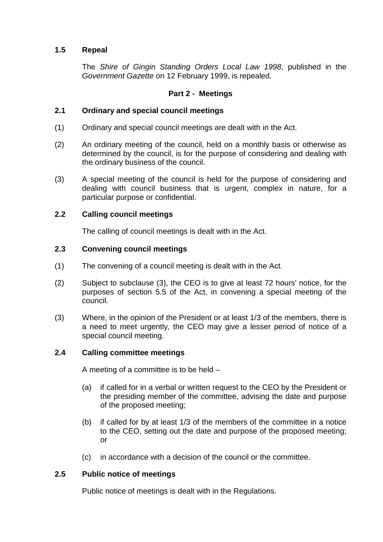# **1.5 Repeal**

The *Shire of Gingin Standing Orders Local Law 1998*, published in the *Government Gazette* on 12 February 1999, is repealed.

# **Part 2 - Meetings**

# **2.1 Ordinary and special council meetings**

- (1) Ordinary and special council meetings are dealt with in the Act.
- (2) An ordinary meeting of the council, held on a monthly basis or otherwise as determined by the council, is for the purpose of considering and dealing with the ordinary business of the council.
- (3) A special meeting of the council is held for the purpose of considering and dealing with council business that is urgent, complex in nature, for a particular purpose or confidential.

### **2.2 Calling council meetings**

The calling of council meetings is dealt with in the Act.

### **2.3 Convening council meetings**

- (1) The convening of a council meeting is dealt with in the Act.
- (2) Subject to subclause (3), the CEO is to give at least 72 hours' notice, for the purposes of section 5.5 of the Act, in convening a special meeting of the council.
- (3) Where, in the opinion of the President or at least 1/3 of the members, there is a need to meet urgently, the CEO may give a lesser period of notice of a special council meeting.

### **2.4 Calling committee meetings**

A meeting of a committee is to be held –

- (a) if called for in a verbal or written request to the CEO by the President or the presiding member of the committee, advising the date and purpose of the proposed meeting;
- (b) if called for by at least 1/3 of the members of the committee in a notice to the CEO, setting out the date and purpose of the proposed meeting; or
- (c) in accordance with a decision of the council or the committee.

### **2.5 Public notice of meetings**

Public notice of meetings is dealt with in the Regulations.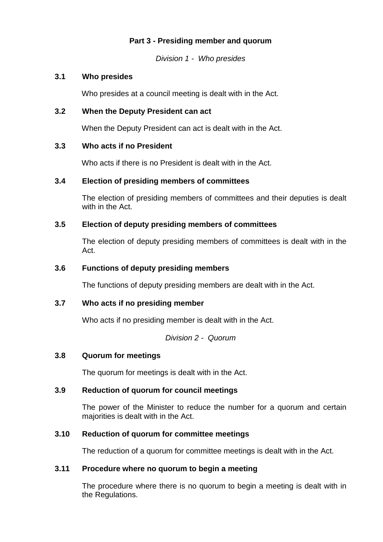# **Part 3 - Presiding member and quorum**

*Division 1 - Who presides* 

### **3.1 Who presides**

Who presides at a council meeting is dealt with in the Act.

# **3.2 When the Deputy President can act**

When the Deputy President can act is dealt with in the Act.

# **3.3 Who acts if no President**

Who acts if there is no President is dealt with in the Act.

# **3.4 Election of presiding members of committees**

The election of presiding members of committees and their deputies is dealt with in the Act.

# **3.5 Election of deputy presiding members of committees**

The election of deputy presiding members of committees is dealt with in the Act.

# **3.6 Functions of deputy presiding members**

The functions of deputy presiding members are dealt with in the Act.

### **3.7 Who acts if no presiding member**

Who acts if no presiding member is dealt with in the Act.

*Division 2 - Quorum* 

### **3.8 Quorum for meetings**

The quorum for meetings is dealt with in the Act.

### **3.9 Reduction of quorum for council meetings**

The power of the Minister to reduce the number for a quorum and certain majorities is dealt with in the Act.

### **3.10 Reduction of quorum for committee meetings**

The reduction of a quorum for committee meetings is dealt with in the Act.

# **3.11 Procedure where no quorum to begin a meeting**

The procedure where there is no quorum to begin a meeting is dealt with in the Regulations.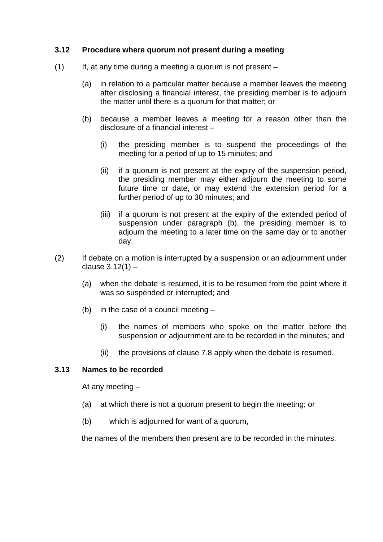### **3.12 Procedure where quorum not present during a meeting**

- $(1)$  If, at any time during a meeting a quorum is not present
	- (a) in relation to a particular matter because a member leaves the meeting after disclosing a financial interest, the presiding member is to adjourn the matter until there is a quorum for that matter; or
	- (b) because a member leaves a meeting for a reason other than the disclosure of a financial interest –
		- (i) the presiding member is to suspend the proceedings of the meeting for a period of up to 15 minutes; and
		- (ii) if a quorum is not present at the expiry of the suspension period, the presiding member may either adjourn the meeting to some future time or date, or may extend the extension period for a further period of up to 30 minutes; and
		- (iii) if a quorum is not present at the expiry of the extended period of suspension under paragraph (b), the presiding member is to adjourn the meeting to a later time on the same day or to another day.
- (2) If debate on a motion is interrupted by a suspension or an adjournment under clause  $3.12(1)$  –
	- (a) when the debate is resumed, it is to be resumed from the point where it was so suspended or interrupted; and
	- (b) in the case of a council meeting
		- (i) the names of members who spoke on the matter before the suspension or adjournment are to be recorded in the minutes; and
		- (ii) the provisions of clause 7.8 apply when the debate is resumed.

### **3.13 Names to be recorded**

At any meeting –

- (a) at which there is not a quorum present to begin the meeting; or
- (b) which is adjourned for want of a quorum,

the names of the members then present are to be recorded in the minutes.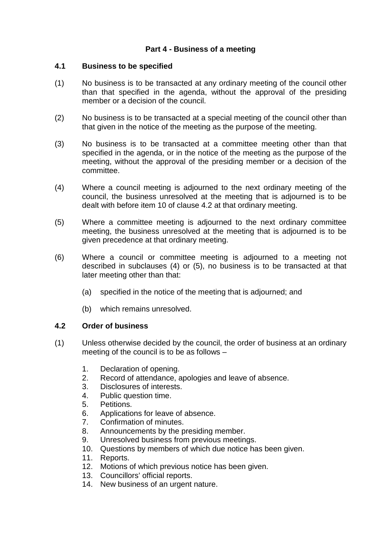# **Part 4 - Business of a meeting**

### **4.1 Business to be specified**

- (1) No business is to be transacted at any ordinary meeting of the council other than that specified in the agenda, without the approval of the presiding member or a decision of the council.
- (2) No business is to be transacted at a special meeting of the council other than that given in the notice of the meeting as the purpose of the meeting.
- (3) No business is to be transacted at a committee meeting other than that specified in the agenda, or in the notice of the meeting as the purpose of the meeting, without the approval of the presiding member or a decision of the committee.
- (4) Where a council meeting is adjourned to the next ordinary meeting of the council, the business unresolved at the meeting that is adjourned is to be dealt with before item 10 of clause 4.2 at that ordinary meeting.
- (5) Where a committee meeting is adjourned to the next ordinary committee meeting, the business unresolved at the meeting that is adjourned is to be given precedence at that ordinary meeting.
- (6) Where a council or committee meeting is adjourned to a meeting not described in subclauses (4) or (5), no business is to be transacted at that later meeting other than that:
	- (a) specified in the notice of the meeting that is adjourned; and
	- (b) which remains unresolved.

### **4.2 Order of business**

- (1) Unless otherwise decided by the council, the order of business at an ordinary meeting of the council is to be as follows –
	- 1. Declaration of opening.
	- 2. Record of attendance, apologies and leave of absence.
	- 3. Disclosures of interests.
	- 4. Public question time.
	- 5. Petitions.
	- 6. Applications for leave of absence.
	- 7. Confirmation of minutes.
	- 8. Announcements by the presiding member.
	- 9. Unresolved business from previous meetings.
	- 10. Questions by members of which due notice has been given.
	- 11. Reports.
	- 12. Motions of which previous notice has been given.
	- 13. Councillors' official reports.
	- 14. New business of an urgent nature.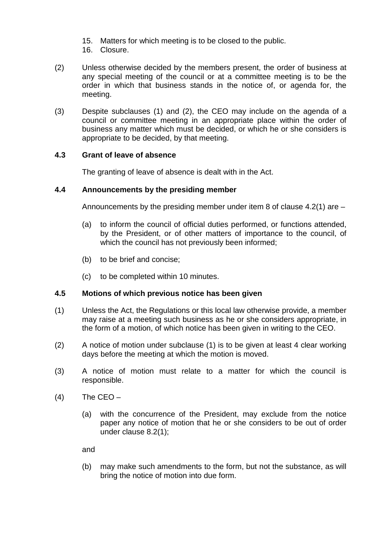- 15. Matters for which meeting is to be closed to the public.
- 16. Closure.
- (2) Unless otherwise decided by the members present, the order of business at any special meeting of the council or at a committee meeting is to be the order in which that business stands in the notice of, or agenda for, the meeting.
- (3) Despite subclauses (1) and (2), the CEO may include on the agenda of a council or committee meeting in an appropriate place within the order of business any matter which must be decided, or which he or she considers is appropriate to be decided, by that meeting.

# **4.3 Grant of leave of absence**

The granting of leave of absence is dealt with in the Act.

# **4.4 Announcements by the presiding member**

Announcements by the presiding member under item 8 of clause 4.2(1) are –

- (a) to inform the council of official duties performed, or functions attended, by the President, or of other matters of importance to the council, of which the council has not previously been informed;
- (b) to be brief and concise;
- (c) to be completed within 10 minutes.

### **4.5 Motions of which previous notice has been given**

- (1) Unless the Act, the Regulations or this local law otherwise provide, a member may raise at a meeting such business as he or she considers appropriate, in the form of a motion, of which notice has been given in writing to the CEO.
- (2) A notice of motion under subclause (1) is to be given at least 4 clear working days before the meeting at which the motion is moved.
- (3) A notice of motion must relate to a matter for which the council is responsible.
- $(4)$  The CEO
	- (a) with the concurrence of the President, may exclude from the notice paper any notice of motion that he or she considers to be out of order under clause 8.2(1);

and

(b) may make such amendments to the form, but not the substance, as will bring the notice of motion into due form.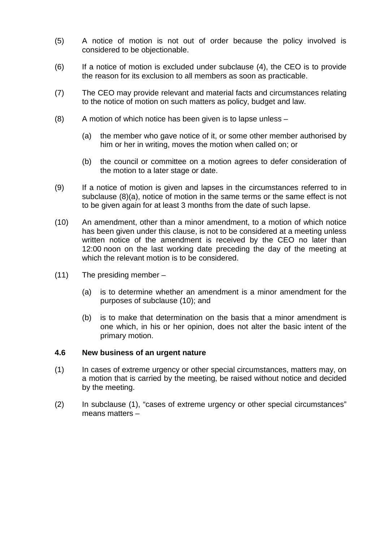- (5) A notice of motion is not out of order because the policy involved is considered to be objectionable.
- (6) If a notice of motion is excluded under subclause (4), the CEO is to provide the reason for its exclusion to all members as soon as practicable.
- (7) The CEO may provide relevant and material facts and circumstances relating to the notice of motion on such matters as policy, budget and law.
- (8) A motion of which notice has been given is to lapse unless
	- (a) the member who gave notice of it, or some other member authorised by him or her in writing, moves the motion when called on; or
	- (b) the council or committee on a motion agrees to defer consideration of the motion to a later stage or date.
- (9) If a notice of motion is given and lapses in the circumstances referred to in subclause (8)(a), notice of motion in the same terms or the same effect is not to be given again for at least 3 months from the date of such lapse.
- (10) An amendment, other than a minor amendment, to a motion of which notice has been given under this clause, is not to be considered at a meeting unless written notice of the amendment is received by the CEO no later than 12:00 noon on the last working date preceding the day of the meeting at which the relevant motion is to be considered.
- (11) The presiding member
	- (a) is to determine whether an amendment is a minor amendment for the purposes of subclause (10); and
	- (b) is to make that determination on the basis that a minor amendment is one which, in his or her opinion, does not alter the basic intent of the primary motion.

#### **4.6 New business of an urgent nature**

- (1) In cases of extreme urgency or other special circumstances, matters may, on a motion that is carried by the meeting, be raised without notice and decided by the meeting.
- (2) In subclause (1), "cases of extreme urgency or other special circumstances" means matters –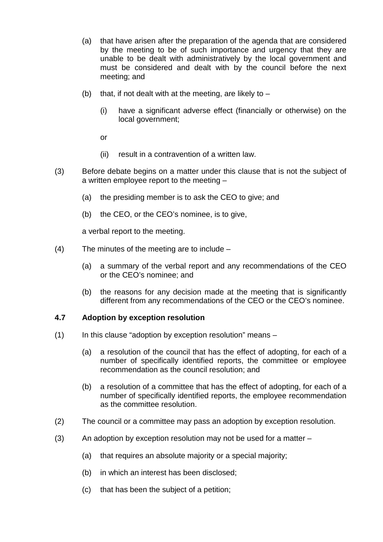- (a) that have arisen after the preparation of the agenda that are considered by the meeting to be of such importance and urgency that they are unable to be dealt with administratively by the local government and must be considered and dealt with by the council before the next meeting; and
- (b) that, if not dealt with at the meeting, are likely to  $-$ 
	- (i) have a significant adverse effect (financially or otherwise) on the local government;

or

- (ii) result in a contravention of a written law.
- (3) Before debate begins on a matter under this clause that is not the subject of a written employee report to the meeting –
	- (a) the presiding member is to ask the CEO to give; and
	- (b) the CEO, or the CEO's nominee, is to give,

a verbal report to the meeting.

- (4) The minutes of the meeting are to include
	- (a) a summary of the verbal report and any recommendations of the CEO or the CEO's nominee; and
	- (b) the reasons for any decision made at the meeting that is significantly different from any recommendations of the CEO or the CEO's nominee.

### **4.7 Adoption by exception resolution**

- $(1)$  In this clause "adoption by exception resolution" means
	- (a) a resolution of the council that has the effect of adopting, for each of a number of specifically identified reports, the committee or employee recommendation as the council resolution; and
	- (b) a resolution of a committee that has the effect of adopting, for each of a number of specifically identified reports, the employee recommendation as the committee resolution.
- (2) The council or a committee may pass an adoption by exception resolution.
- (3) An adoption by exception resolution may not be used for a matter
	- (a) that requires an absolute majority or a special majority;
	- (b) in which an interest has been disclosed;
	- (c) that has been the subject of a petition;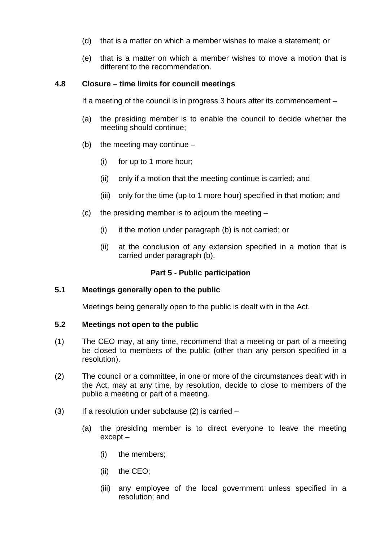- (d) that is a matter on which a member wishes to make a statement; or
- (e) that is a matter on which a member wishes to move a motion that is different to the recommendation.

# **4.8 Closure – time limits for council meetings**

If a meeting of the council is in progress 3 hours after its commencement –

- (a) the presiding member is to enable the council to decide whether the meeting should continue;
- (b) the meeting may continue
	- (i) for up to 1 more hour;
	- (ii) only if a motion that the meeting continue is carried; and
	- (iii) only for the time (up to 1 more hour) specified in that motion; and
- (c) the presiding member is to adjourn the meeting  $-$ 
	- (i) if the motion under paragraph (b) is not carried; or
	- (ii) at the conclusion of any extension specified in a motion that is carried under paragraph (b).

### **Part 5 - Public participation**

#### **5.1 Meetings generally open to the public**

Meetings being generally open to the public is dealt with in the Act.

#### **5.2 Meetings not open to the public**

- (1) The CEO may, at any time, recommend that a meeting or part of a meeting be closed to members of the public (other than any person specified in a resolution).
- (2) The council or a committee, in one or more of the circumstances dealt with in the Act, may at any time, by resolution, decide to close to members of the public a meeting or part of a meeting.
- $(3)$  If a resolution under subclause  $(2)$  is carried
	- (a) the presiding member is to direct everyone to leave the meeting except –
		- (i) the members;
		- (ii) the CEO;
		- (iii) any employee of the local government unless specified in a resolution; and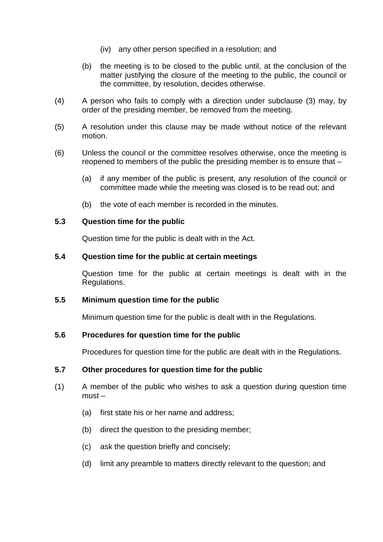- (iv) any other person specified in a resolution; and
- (b) the meeting is to be closed to the public until, at the conclusion of the matter justifying the closure of the meeting to the public, the council or the committee, by resolution, decides otherwise.
- (4) A person who fails to comply with a direction under subclause (3) may, by order of the presiding member, be removed from the meeting.
- (5) A resolution under this clause may be made without notice of the relevant motion.
- (6) Unless the council or the committee resolves otherwise, once the meeting is reopened to members of the public the presiding member is to ensure that –
	- (a) if any member of the public is present, any resolution of the council or committee made while the meeting was closed is to be read out; and
	- (b) the vote of each member is recorded in the minutes.

#### **5.3 Question time for the public**

Question time for the public is dealt with in the Act.

#### **5.4 Question time for the public at certain meetings**

Question time for the public at certain meetings is dealt with in the Regulations.

#### **5.5 Minimum question time for the public**

Minimum question time for the public is dealt with in the Regulations.

#### **5.6 Procedures for question time for the public**

Procedures for question time for the public are dealt with in the Regulations.

### **5.7 Other procedures for question time for the public**

- (1) A member of the public who wishes to ask a question during question time must –
	- (a) first state his or her name and address;
	- (b) direct the question to the presiding member;
	- (c) ask the question briefly and concisely;
	- (d) limit any preamble to matters directly relevant to the question; and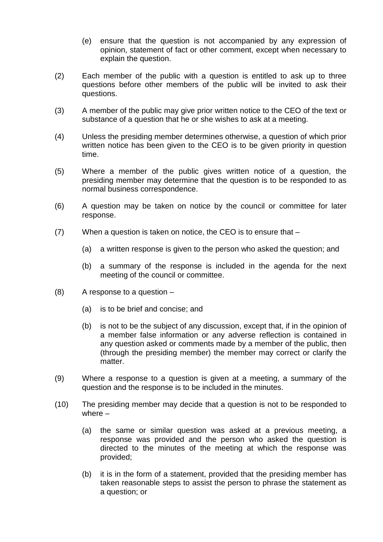- (e) ensure that the question is not accompanied by any expression of opinion, statement of fact or other comment, except when necessary to explain the question.
- (2) Each member of the public with a question is entitled to ask up to three questions before other members of the public will be invited to ask their questions.
- (3) A member of the public may give prior written notice to the CEO of the text or substance of a question that he or she wishes to ask at a meeting.
- (4) Unless the presiding member determines otherwise, a question of which prior written notice has been given to the CEO is to be given priority in question time.
- (5) Where a member of the public gives written notice of a question, the presiding member may determine that the question is to be responded to as normal business correspondence.
- (6) A question may be taken on notice by the council or committee for later response.
- (7) When a question is taken on notice, the CEO is to ensure that
	- (a) a written response is given to the person who asked the question; and
	- (b) a summary of the response is included in the agenda for the next meeting of the council or committee.
- $(8)$  A response to a question  $-$ 
	- (a) is to be brief and concise; and
	- (b) is not to be the subject of any discussion, except that, if in the opinion of a member false information or any adverse reflection is contained in any question asked or comments made by a member of the public, then (through the presiding member) the member may correct or clarify the matter.
- (9) Where a response to a question is given at a meeting, a summary of the question and the response is to be included in the minutes.
- (10) The presiding member may decide that a question is not to be responded to where –
	- (a) the same or similar question was asked at a previous meeting, a response was provided and the person who asked the question is directed to the minutes of the meeting at which the response was provided;
	- (b) it is in the form of a statement, provided that the presiding member has taken reasonable steps to assist the person to phrase the statement as a question; or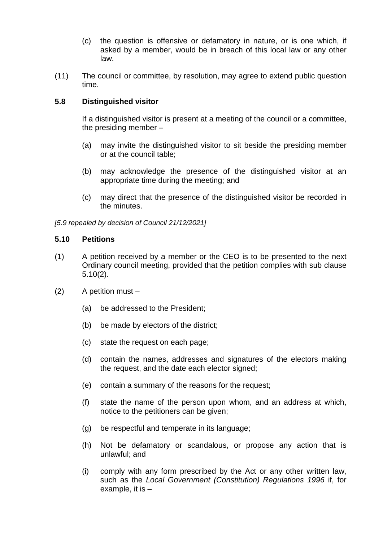- (c) the question is offensive or defamatory in nature, or is one which, if asked by a member, would be in breach of this local law or any other law.
- (11) The council or committee, by resolution, may agree to extend public question time.

# **5.8 Distinguished visitor**

If a distinguished visitor is present at a meeting of the council or a committee, the presiding member –

- (a) may invite the distinguished visitor to sit beside the presiding member or at the council table;
- (b) may acknowledge the presence of the distinguished visitor at an appropriate time during the meeting; and
- (c) may direct that the presence of the distinguished visitor be recorded in the minutes.

*[5.9 repealed by decision of Council 21/12/2021]* 

### **5.10 Petitions**

- (1) A petition received by a member or the CEO is to be presented to the next Ordinary council meeting, provided that the petition complies with sub clause 5.10(2).
- (2) A petition must
	- (a) be addressed to the President;
	- (b) be made by electors of the district;
	- (c) state the request on each page;
	- (d) contain the names, addresses and signatures of the electors making the request, and the date each elector signed;
	- (e) contain a summary of the reasons for the request;
	- (f) state the name of the person upon whom, and an address at which, notice to the petitioners can be given;
	- (g) be respectful and temperate in its language;
	- (h) Not be defamatory or scandalous, or propose any action that is unlawful; and
	- (i) comply with any form prescribed by the Act or any other written law, such as the *Local Government (Constitution) Regulations 1996* if, for example, it is –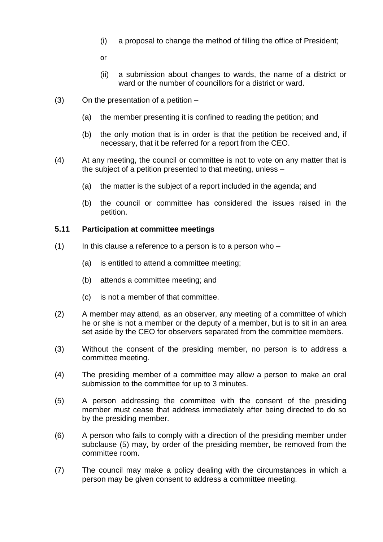- (i) a proposal to change the method of filling the office of President;
- or
- (ii) a submission about changes to wards, the name of a district or ward or the number of councillors for a district or ward.
- $(3)$  On the presentation of a petition  $-$ 
	- (a) the member presenting it is confined to reading the petition; and
	- (b) the only motion that is in order is that the petition be received and, if necessary, that it be referred for a report from the CEO.
- (4) At any meeting, the council or committee is not to vote on any matter that is the subject of a petition presented to that meeting, unless –
	- (a) the matter is the subject of a report included in the agenda; and
	- (b) the council or committee has considered the issues raised in the petition.

### **5.11 Participation at committee meetings**

- $(1)$  In this clause a reference to a person is to a person who
	- (a) is entitled to attend a committee meeting;
	- (b) attends a committee meeting; and
	- (c) is not a member of that committee.
- (2) A member may attend, as an observer, any meeting of a committee of which he or she is not a member or the deputy of a member, but is to sit in an area set aside by the CEO for observers separated from the committee members.
- (3) Without the consent of the presiding member, no person is to address a committee meeting.
- (4) The presiding member of a committee may allow a person to make an oral submission to the committee for up to 3 minutes.
- (5) A person addressing the committee with the consent of the presiding member must cease that address immediately after being directed to do so by the presiding member.
- (6) A person who fails to comply with a direction of the presiding member under subclause (5) may, by order of the presiding member, be removed from the committee room.
- (7) The council may make a policy dealing with the circumstances in which a person may be given consent to address a committee meeting.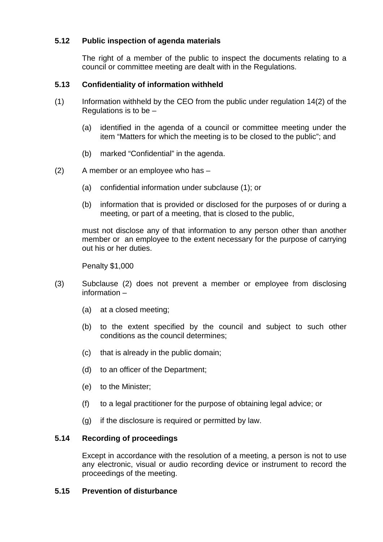# **5.12 Public inspection of agenda materials**

The right of a member of the public to inspect the documents relating to a council or committee meeting are dealt with in the Regulations.

# **5.13 Confidentiality of information withheld**

- (1) Information withheld by the CEO from the public under regulation 14(2) of the Regulations is to be –
	- (a) identified in the agenda of a council or committee meeting under the item "Matters for which the meeting is to be closed to the public"; and
	- (b) marked "Confidential" in the agenda.
- (2) A member or an employee who has
	- (a) confidential information under subclause (1); or
	- (b) information that is provided or disclosed for the purposes of or during a meeting, or part of a meeting, that is closed to the public,

must not disclose any of that information to any person other than another member or an employee to the extent necessary for the purpose of carrying out his or her duties.

Penalty \$1,000

- (3) Subclause (2) does not prevent a member or employee from disclosing information –
	- (a) at a closed meeting;
	- (b) to the extent specified by the council and subject to such other conditions as the council determines;
	- (c) that is already in the public domain;
	- (d) to an officer of the Department;
	- (e) to the Minister;
	- (f) to a legal practitioner for the purpose of obtaining legal advice; or
	- (g) if the disclosure is required or permitted by law.

### **5.14 Recording of proceedings**

Except in accordance with the resolution of a meeting, a person is not to use any electronic, visual or audio recording device or instrument to record the proceedings of the meeting.

### **5.15 Prevention of disturbance**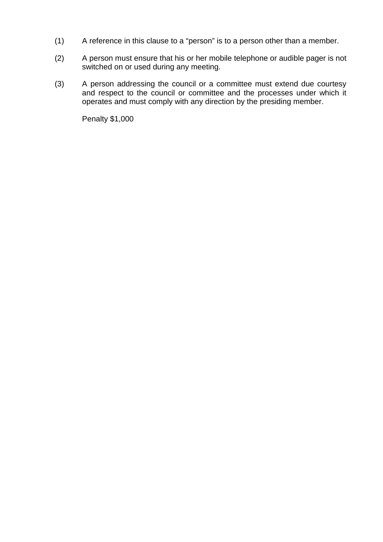- (1) A reference in this clause to a "person" is to a person other than a member.
- (2) A person must ensure that his or her mobile telephone or audible pager is not switched on or used during any meeting.
- (3) A person addressing the council or a committee must extend due courtesy and respect to the council or committee and the processes under which it operates and must comply with any direction by the presiding member.

Penalty \$1,000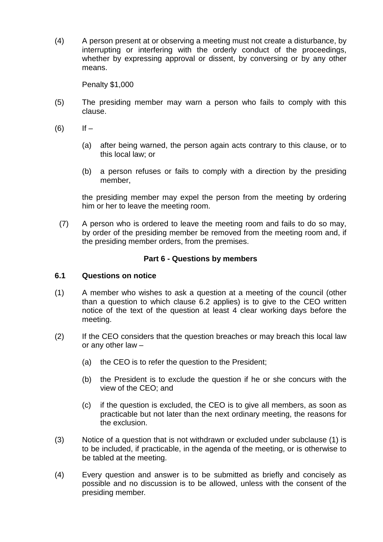(4) A person present at or observing a meeting must not create a disturbance, by interrupting or interfering with the orderly conduct of the proceedings, whether by expressing approval or dissent, by conversing or by any other means.

Penalty \$1,000

- (5) The presiding member may warn a person who fails to comply with this clause.
- $(6)$  If
	- (a) after being warned, the person again acts contrary to this clause, or to this local law; or
	- (b) a person refuses or fails to comply with a direction by the presiding member,

the presiding member may expel the person from the meeting by ordering him or her to leave the meeting room.

(7) A person who is ordered to leave the meeting room and fails to do so may, by order of the presiding member be removed from the meeting room and, if the presiding member orders, from the premises.

### **Part 6 - Questions by members**

#### **6.1 Questions on notice**

- (1) A member who wishes to ask a question at a meeting of the council (other than a question to which clause 6.2 applies) is to give to the CEO written notice of the text of the question at least 4 clear working days before the meeting.
- (2) If the CEO considers that the question breaches or may breach this local law or any other law –
	- (a) the CEO is to refer the question to the President;
	- (b) the President is to exclude the question if he or she concurs with the view of the CEO; and
	- (c) if the question is excluded, the CEO is to give all members, as soon as practicable but not later than the next ordinary meeting, the reasons for the exclusion.
- (3) Notice of a question that is not withdrawn or excluded under subclause (1) is to be included, if practicable, in the agenda of the meeting, or is otherwise to be tabled at the meeting.
- (4) Every question and answer is to be submitted as briefly and concisely as possible and no discussion is to be allowed, unless with the consent of the presiding member*.*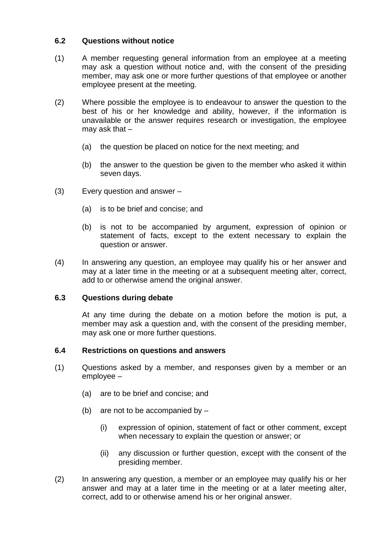# **6.2 Questions without notice**

- (1) A member requesting general information from an employee at a meeting may ask a question without notice and, with the consent of the presiding member, may ask one or more further questions of that employee or another employee present at the meeting.
- (2) Where possible the employee is to endeavour to answer the question to the best of his or her knowledge and ability, however, if the information is unavailable or the answer requires research or investigation, the employee may ask that –
	- (a) the question be placed on notice for the next meeting; and
	- (b) the answer to the question be given to the member who asked it within seven days.
- (3) Every question and answer
	- (a) is to be brief and concise; and
	- (b) is not to be accompanied by argument, expression of opinion or statement of facts, except to the extent necessary to explain the question or answer.
- (4) In answering any question, an employee may qualify his or her answer and may at a later time in the meeting or at a subsequent meeting alter, correct, add to or otherwise amend the original answer.

### **6.3 Questions during debate**

At any time during the debate on a motion before the motion is put, a member may ask a question and, with the consent of the presiding member, may ask one or more further questions.

### **6.4 Restrictions on questions and answers**

- (1) Questions asked by a member, and responses given by a member or an employee –
	- (a) are to be brief and concise; and
	- (b) are not to be accompanied by  $-$ 
		- (i) expression of opinion, statement of fact or other comment, except when necessary to explain the question or answer; or
		- (ii) any discussion or further question, except with the consent of the presiding member.
- (2) In answering any question, a member or an employee may qualify his or her answer and may at a later time in the meeting or at a later meeting alter, correct, add to or otherwise amend his or her original answer.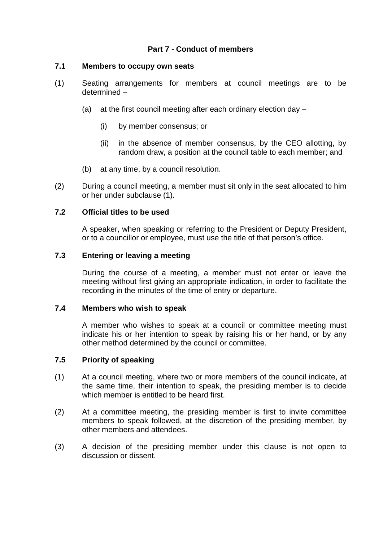# **Part 7 - Conduct of members**

### **7.1 Members to occupy own seats**

- (1) Seating arrangements for members at council meetings are to be determined –
	- (a) at the first council meeting after each ordinary election day
		- (i) by member consensus; or
		- (ii) in the absence of member consensus, by the CEO allotting, by random draw, a position at the council table to each member; and
	- (b) at any time, by a council resolution.
- (2) During a council meeting, a member must sit only in the seat allocated to him or her under subclause (1).

#### **7.2 Official titles to be used**

A speaker, when speaking or referring to the President or Deputy President, or to a councillor or employee, must use the title of that person's office.

### **7.3 Entering or leaving a meeting**

During the course of a meeting, a member must not enter or leave the meeting without first giving an appropriate indication, in order to facilitate the recording in the minutes of the time of entry or departure.

#### **7.4 Members who wish to speak**

A member who wishes to speak at a council or committee meeting must indicate his or her intention to speak by raising his or her hand, or by any other method determined by the council or committee.

#### **7.5 Priority of speaking**

- (1) At a council meeting, where two or more members of the council indicate, at the same time, their intention to speak, the presiding member is to decide which member is entitled to be heard first.
- (2) At a committee meeting, the presiding member is first to invite committee members to speak followed, at the discretion of the presiding member, by other members and attendees.
- (3) A decision of the presiding member under this clause is not open to discussion or dissent.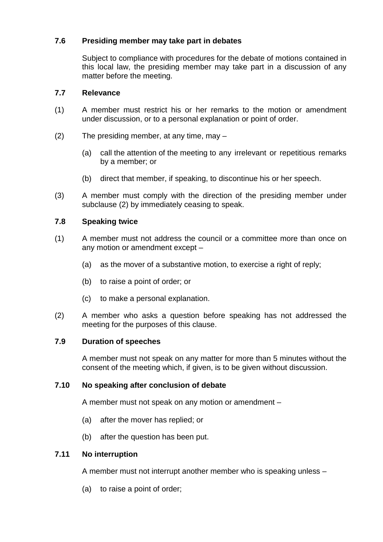# **7.6 Presiding member may take part in debates**

Subject to compliance with procedures for the debate of motions contained in this local law, the presiding member may take part in a discussion of any matter before the meeting.

# **7.7 Relevance**

- (1) A member must restrict his or her remarks to the motion or amendment under discussion, or to a personal explanation or point of order.
- (2) The presiding member, at any time, may
	- (a) call the attention of the meeting to any irrelevant or repetitious remarks by a member; or
	- (b) direct that member, if speaking, to discontinue his or her speech.
- (3) A member must comply with the direction of the presiding member under subclause (2) by immediately ceasing to speak.

# **7.8 Speaking twice**

- (1) A member must not address the council or a committee more than once on any motion or amendment except –
	- (a) as the mover of a substantive motion, to exercise a right of reply;
	- (b) to raise a point of order; or
	- (c) to make a personal explanation.
- (2) A member who asks a question before speaking has not addressed the meeting for the purposes of this clause.

### **7.9 Duration of speeches**

A member must not speak on any matter for more than 5 minutes without the consent of the meeting which, if given, is to be given without discussion.

### **7.10 No speaking after conclusion of debate**

A member must not speak on any motion or amendment –

- (a) after the mover has replied; or
- (b) after the question has been put.

### **7.11 No interruption**

A member must not interrupt another member who is speaking unless –

(a) to raise a point of order;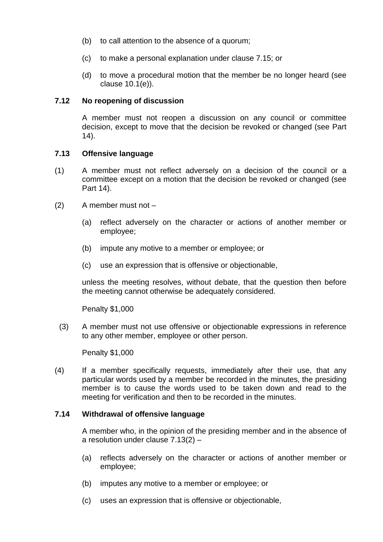- (b) to call attention to the absence of a quorum;
- (c) to make a personal explanation under clause 7.15; or
- (d) to move a procedural motion that the member be no longer heard (see clause 10.1(e)).

### **7.12 No reopening of discussion**

A member must not reopen a discussion on any council or committee decision, except to move that the decision be revoked or changed (see Part 14).

#### **7.13 Offensive language**

- (1) A member must not reflect adversely on a decision of the council or a committee except on a motion that the decision be revoked or changed (see Part 14).
- (2) A member must not
	- (a) reflect adversely on the character or actions of another member or employee;
	- (b) impute any motive to a member or employee; or
	- (c) use an expression that is offensive or objectionable,

unless the meeting resolves, without debate, that the question then before the meeting cannot otherwise be adequately considered.

Penalty \$1,000

(3) A member must not use offensive or objectionable expressions in reference to any other member, employee or other person.

Penalty \$1,000

(4) If a member specifically requests, immediately after their use, that any particular words used by a member be recorded in the minutes, the presiding member is to cause the words used to be taken down and read to the meeting for verification and then to be recorded in the minutes.

#### **7.14 Withdrawal of offensive language**

A member who, in the opinion of the presiding member and in the absence of a resolution under clause 7.13(2) –

- (a) reflects adversely on the character or actions of another member or employee;
- (b) imputes any motive to a member or employee; or
- (c) uses an expression that is offensive or objectionable,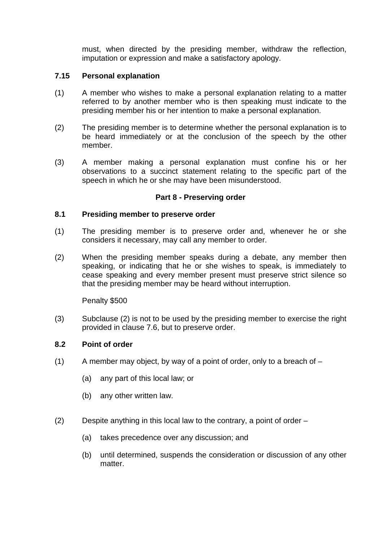must, when directed by the presiding member, withdraw the reflection, imputation or expression and make a satisfactory apology.

# **7.15 Personal explanation**

- (1) A member who wishes to make a personal explanation relating to a matter referred to by another member who is then speaking must indicate to the presiding member his or her intention to make a personal explanation.
- (2) The presiding member is to determine whether the personal explanation is to be heard immediately or at the conclusion of the speech by the other member.
- (3) A member making a personal explanation must confine his or her observations to a succinct statement relating to the specific part of the speech in which he or she may have been misunderstood.

# **Part 8 - Preserving order**

### **8.1 Presiding member to preserve order**

- (1) The presiding member is to preserve order and, whenever he or she considers it necessary, may call any member to order.
- (2) When the presiding member speaks during a debate, any member then speaking, or indicating that he or she wishes to speak, is immediately to cease speaking and every member present must preserve strict silence so that the presiding member may be heard without interruption.

Penalty \$500

(3) Subclause (2) is not to be used by the presiding member to exercise the right provided in clause 7.6, but to preserve order.

### **8.2 Point of order**

- $(1)$  A member may object, by way of a point of order, only to a breach of  $-$ 
	- (a) any part of this local law; or
	- (b) any other written law.
- (2) Despite anything in this local law to the contrary, a point of order
	- (a) takes precedence over any discussion; and
	- (b) until determined, suspends the consideration or discussion of any other matter.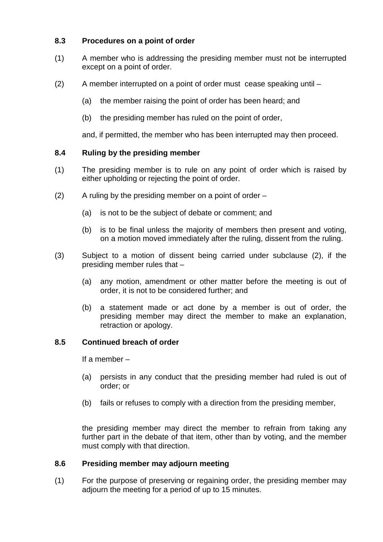# **8.3 Procedures on a point of order**

- (1) A member who is addressing the presiding member must not be interrupted except on a point of order.
- (2) A member interrupted on a point of order must cease speaking until
	- (a) the member raising the point of order has been heard; and
	- (b) the presiding member has ruled on the point of order,

and, if permitted, the member who has been interrupted may then proceed.

### **8.4 Ruling by the presiding member**

- (1) The presiding member is to rule on any point of order which is raised by either upholding or rejecting the point of order.
- $(2)$  A ruling by the presiding member on a point of order  $-$ 
	- (a) is not to be the subject of debate or comment; and
	- (b) is to be final unless the majority of members then present and voting, on a motion moved immediately after the ruling, dissent from the ruling.
- (3) Subject to a motion of dissent being carried under subclause (2), if the presiding member rules that –
	- (a) any motion, amendment or other matter before the meeting is out of order, it is not to be considered further; and
	- (b) a statement made or act done by a member is out of order, the presiding member may direct the member to make an explanation, retraction or apology.

# **8.5 Continued breach of order**

If a member –

- (a) persists in any conduct that the presiding member had ruled is out of order; or
- (b) fails or refuses to comply with a direction from the presiding member,

the presiding member may direct the member to refrain from taking any further part in the debate of that item, other than by voting, and the member must comply with that direction.

### **8.6 Presiding member may adjourn meeting**

(1) For the purpose of preserving or regaining order, the presiding member may adjourn the meeting for a period of up to 15 minutes.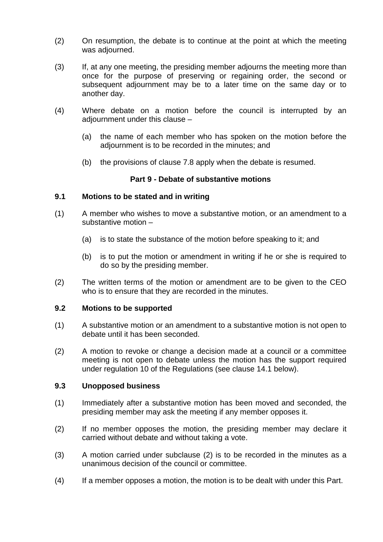- (2) On resumption, the debate is to continue at the point at which the meeting was adjourned.
- (3) If, at any one meeting, the presiding member adjourns the meeting more than once for the purpose of preserving or regaining order, the second or subsequent adjournment may be to a later time on the same day or to another day.
- (4) Where debate on a motion before the council is interrupted by an adiournment under this clause -
	- (a) the name of each member who has spoken on the motion before the adjournment is to be recorded in the minutes; and
	- (b) the provisions of clause 7.8 apply when the debate is resumed.

### **Part 9 - Debate of substantive motions**

#### **9.1 Motions to be stated and in writing**

- (1) A member who wishes to move a substantive motion, or an amendment to a substantive motion –
	- (a) is to state the substance of the motion before speaking to it; and
	- (b) is to put the motion or amendment in writing if he or she is required to do so by the presiding member.
- (2) The written terms of the motion or amendment are to be given to the CEO who is to ensure that they are recorded in the minutes.

#### **9.2 Motions to be supported**

- (1) A substantive motion or an amendment to a substantive motion is not open to debate until it has been seconded.
- (2) A motion to revoke or change a decision made at a council or a committee meeting is not open to debate unless the motion has the support required under regulation 10 of the Regulations (see clause 14.1 below).

#### **9.3 Unopposed business**

- (1) Immediately after a substantive motion has been moved and seconded, the presiding member may ask the meeting if any member opposes it.
- (2) If no member opposes the motion, the presiding member may declare it carried without debate and without taking a vote.
- (3) A motion carried under subclause (2) is to be recorded in the minutes as a unanimous decision of the council or committee.
- (4) If a member opposes a motion, the motion is to be dealt with under this Part.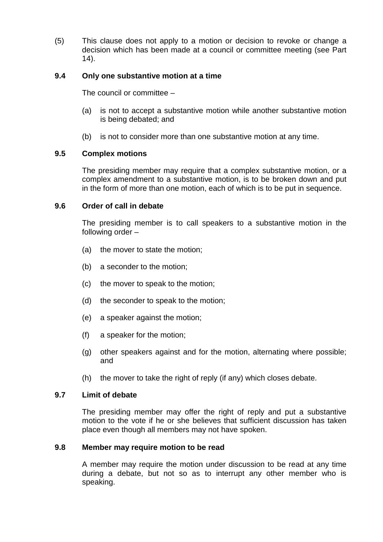(5) This clause does not apply to a motion or decision to revoke or change a decision which has been made at a council or committee meeting (see Part 14).

# **9.4 Only one substantive motion at a time**

The council or committee –

- (a) is not to accept a substantive motion while another substantive motion is being debated; and
- (b) is not to consider more than one substantive motion at any time.

### **9.5 Complex motions**

The presiding member may require that a complex substantive motion, or a complex amendment to a substantive motion, is to be broken down and put in the form of more than one motion, each of which is to be put in sequence.

#### **9.6 Order of call in debate**

The presiding member is to call speakers to a substantive motion in the following order –

- (a) the mover to state the motion;
- (b) a seconder to the motion;
- (c) the mover to speak to the motion;
- (d) the seconder to speak to the motion;
- (e) a speaker against the motion;
- (f) a speaker for the motion;
- (g) other speakers against and for the motion, alternating where possible; and
- (h) the mover to take the right of reply (if any) which closes debate.

#### **9.7 Limit of debate**

The presiding member may offer the right of reply and put a substantive motion to the vote if he or she believes that sufficient discussion has taken place even though all members may not have spoken.

#### **9.8 Member may require motion to be read**

A member may require the motion under discussion to be read at any time during a debate, but not so as to interrupt any other member who is speaking.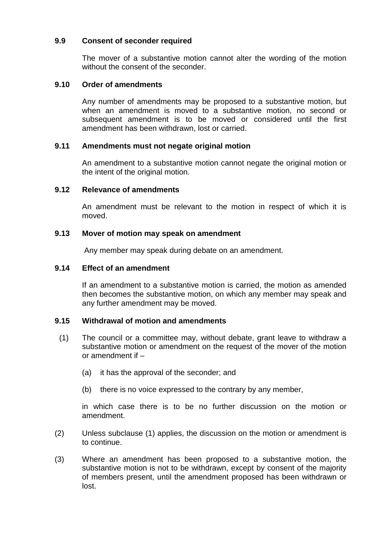# **9.9 Consent of seconder required**

The mover of a substantive motion cannot alter the wording of the motion without the consent of the seconder.

# **9.10 Order of amendments**

Any number of amendments may be proposed to a substantive motion, but when an amendment is moved to a substantive motion, no second or subsequent amendment is to be moved or considered until the first amendment has been withdrawn, lost or carried.

### **9.11 Amendments must not negate original motion**

An amendment to a substantive motion cannot negate the original motion or the intent of the original motion.

### **9.12 Relevance of amendments**

An amendment must be relevant to the motion in respect of which it is moved.

### **9.13 Mover of motion may speak on amendment**

Any member may speak during debate on an amendment.

### **9.14 Effect of an amendment**

If an amendment to a substantive motion is carried, the motion as amended then becomes the substantive motion, on which any member may speak and any further amendment may be moved.

### **9.15 Withdrawal of motion and amendments**

- (1) The council or a committee may, without debate, grant leave to withdraw a substantive motion or amendment on the request of the mover of the motion or amendment if –
	- (a) it has the approval of the seconder; and
	- (b) there is no voice expressed to the contrary by any member,

in which case there is to be no further discussion on the motion or amendment.

- (2) Unless subclause (1) applies, the discussion on the motion or amendment is to continue.
- (3) Where an amendment has been proposed to a substantive motion, the substantive motion is not to be withdrawn, except by consent of the majority of members present, until the amendment proposed has been withdrawn or lost.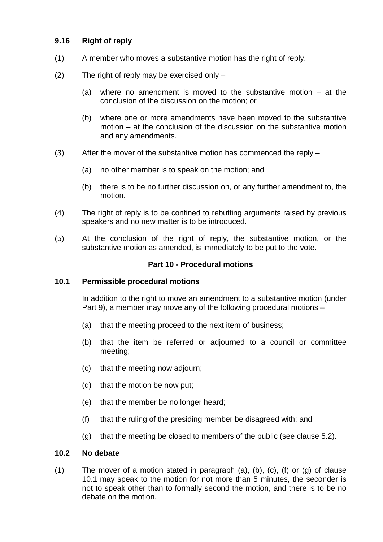# **9.16 Right of reply**

- (1) A member who moves a substantive motion has the right of reply.
- (2) The right of reply may be exercised only
	- (a) where no amendment is moved to the substantive motion at the conclusion of the discussion on the motion; or
	- (b) where one or more amendments have been moved to the substantive motion – at the conclusion of the discussion on the substantive motion and any amendments.
- (3) After the mover of the substantive motion has commenced the reply
	- (a) no other member is to speak on the motion; and
	- (b) there is to be no further discussion on, or any further amendment to, the motion.
- (4) The right of reply is to be confined to rebutting arguments raised by previous speakers and no new matter is to be introduced.
- (5) At the conclusion of the right of reply, the substantive motion, or the substantive motion as amended, is immediately to be put to the vote.

### **Part 10 - Procedural motions**

### **10.1 Permissible procedural motions**

In addition to the right to move an amendment to a substantive motion (under Part 9), a member may move any of the following procedural motions –

- (a) that the meeting proceed to the next item of business;
- (b) that the item be referred or adjourned to a council or committee meeting;
- (c) that the meeting now adjourn;
- (d) that the motion be now put;
- (e) that the member be no longer heard;
- (f) that the ruling of the presiding member be disagreed with; and
- (g) that the meeting be closed to members of the public (see clause 5.2).

#### **10.2 No debate**

(1) The mover of a motion stated in paragraph (a), (b), (c), (f) or (g) of clause 10.1 may speak to the motion for not more than 5 minutes, the seconder is not to speak other than to formally second the motion, and there is to be no debate on the motion.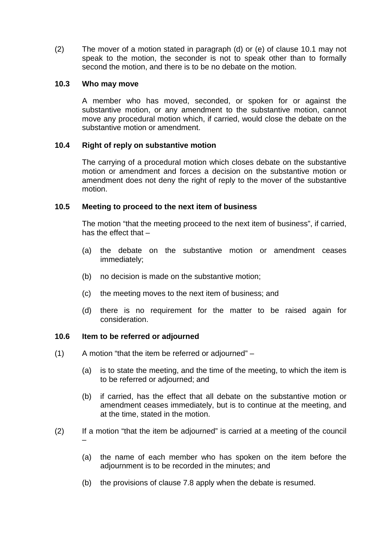(2) The mover of a motion stated in paragraph (d) or (e) of clause 10.1 may not speak to the motion, the seconder is not to speak other than to formally second the motion, and there is to be no debate on the motion.

#### **10.3 Who may move**

A member who has moved, seconded, or spoken for or against the substantive motion, or any amendment to the substantive motion, cannot move any procedural motion which, if carried, would close the debate on the substantive motion or amendment.

### **10.4 Right of reply on substantive motion**

The carrying of a procedural motion which closes debate on the substantive motion or amendment and forces a decision on the substantive motion or amendment does not deny the right of reply to the mover of the substantive motion.

#### **10.5 Meeting to proceed to the next item of business**

The motion "that the meeting proceed to the next item of business", if carried, has the effect that –

- (a) the debate on the substantive motion or amendment ceases immediately;
- (b) no decision is made on the substantive motion;
- (c) the meeting moves to the next item of business; and
- (d) there is no requirement for the matter to be raised again for consideration.

#### **10.6 Item to be referred or adjourned**

- (1) A motion "that the item be referred or adjourned"
	- (a) is to state the meeting, and the time of the meeting, to which the item is to be referred or adjourned; and
	- (b) if carried, has the effect that all debate on the substantive motion or amendment ceases immediately, but is to continue at the meeting, and at the time, stated in the motion.
- (2) If a motion "that the item be adjourned" is carried at a meeting of the council –
	- (a) the name of each member who has spoken on the item before the adjournment is to be recorded in the minutes; and
	- (b) the provisions of clause 7.8 apply when the debate is resumed.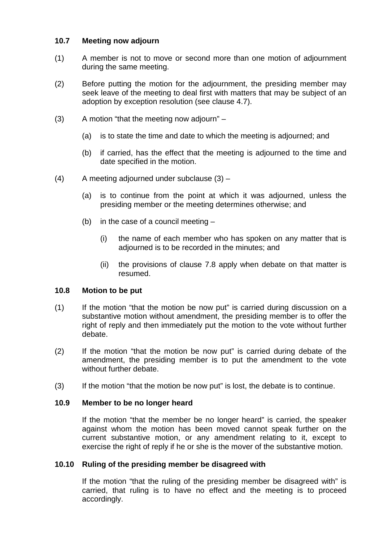# **10.7 Meeting now adjourn**

- (1) A member is not to move or second more than one motion of adjournment during the same meeting.
- (2) Before putting the motion for the adjournment, the presiding member may seek leave of the meeting to deal first with matters that may be subject of an adoption by exception resolution (see clause 4.7).
- (3) A motion "that the meeting now adjourn"
	- (a) is to state the time and date to which the meeting is adjourned; and
	- (b) if carried, has the effect that the meeting is adjourned to the time and date specified in the motion.
- $(4)$  A meeting adjourned under subclause  $(3)$ 
	- (a) is to continue from the point at which it was adjourned, unless the presiding member or the meeting determines otherwise; and
	- (b) in the case of a council meeting
		- (i) the name of each member who has spoken on any matter that is adjourned is to be recorded in the minutes; and
		- (ii) the provisions of clause 7.8 apply when debate on that matter is resumed.

### **10.8 Motion to be put**

- (1) If the motion "that the motion be now put" is carried during discussion on a substantive motion without amendment, the presiding member is to offer the right of reply and then immediately put the motion to the vote without further debate.
- (2) If the motion "that the motion be now put" is carried during debate of the amendment, the presiding member is to put the amendment to the vote without further debate.
- (3) If the motion "that the motion be now put" is lost, the debate is to continue.

### **10.9 Member to be no longer heard**

If the motion "that the member be no longer heard" is carried, the speaker against whom the motion has been moved cannot speak further on the current substantive motion, or any amendment relating to it, except to exercise the right of reply if he or she is the mover of the substantive motion.

### **10.10 Ruling of the presiding member be disagreed with**

If the motion "that the ruling of the presiding member be disagreed with" is carried, that ruling is to have no effect and the meeting is to proceed accordingly.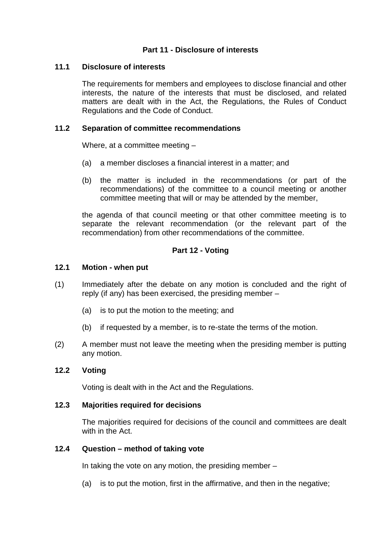# **Part 11 - Disclosure of interests**

### **11.1 Disclosure of interests**

The requirements for members and employees to disclose financial and other interests, the nature of the interests that must be disclosed, and related matters are dealt with in the Act, the Regulations, the Rules of Conduct Regulations and the Code of Conduct.

### **11.2 Separation of committee recommendations**

Where, at a committee meeting –

- (a) a member discloses a financial interest in a matter; and
- (b) the matter is included in the recommendations (or part of the recommendations) of the committee to a council meeting or another committee meeting that will or may be attended by the member,

the agenda of that council meeting or that other committee meeting is to separate the relevant recommendation (or the relevant part of the recommendation) from other recommendations of the committee.

# **Part 12 - Voting**

### **12.1 Motion - when put**

- (1) Immediately after the debate on any motion is concluded and the right of reply (if any) has been exercised, the presiding member –
	- (a) is to put the motion to the meeting; and
	- (b) if requested by a member, is to re-state the terms of the motion.
- (2) A member must not leave the meeting when the presiding member is putting any motion.

# **12.2 Voting**

Voting is dealt with in the Act and the Regulations.

### **12.3 Majorities required for decisions**

The majorities required for decisions of the council and committees are dealt with in the Act.

### **12.4 Question – method of taking vote**

In taking the vote on any motion, the presiding member  $-$ 

(a) is to put the motion, first in the affirmative, and then in the negative;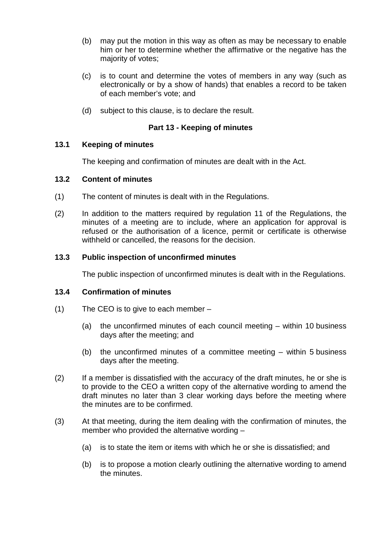- (b) may put the motion in this way as often as may be necessary to enable him or her to determine whether the affirmative or the negative has the majority of votes;
- (c) is to count and determine the votes of members in any way (such as electronically or by a show of hands) that enables a record to be taken of each member's vote; and
- (d) subject to this clause, is to declare the result.

# **Part 13 - Keeping of minutes**

# **13.1 Keeping of minutes**

The keeping and confirmation of minutes are dealt with in the Act.

### **13.2 Content of minutes**

- (1) The content of minutes is dealt with in the Regulations.
- (2) In addition to the matters required by regulation 11 of the Regulations, the minutes of a meeting are to include, where an application for approval is refused or the authorisation of a licence, permit or certificate is otherwise withheld or cancelled, the reasons for the decision.

# **13.3 Public inspection of unconfirmed minutes**

The public inspection of unconfirmed minutes is dealt with in the Regulations.

### **13.4 Confirmation of minutes**

- (1) The CEO is to give to each member
	- (a) the unconfirmed minutes of each council meeting within 10 business days after the meeting; and
	- (b) the unconfirmed minutes of a committee meeting within 5 business days after the meeting.
- (2) If a member is dissatisfied with the accuracy of the draft minutes, he or she is to provide to the CEO a written copy of the alternative wording to amend the draft minutes no later than 3 clear working days before the meeting where the minutes are to be confirmed.
- (3) At that meeting, during the item dealing with the confirmation of minutes, the member who provided the alternative wording –
	- (a) is to state the item or items with which he or she is dissatisfied; and
	- (b) is to propose a motion clearly outlining the alternative wording to amend the minutes.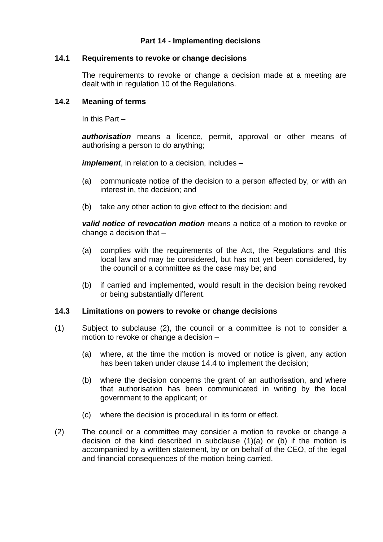# **Part 14 - Implementing decisions**

### **14.1 Requirements to revoke or change decisions**

The requirements to revoke or change a decision made at a meeting are dealt with in regulation 10 of the Regulations.

### **14.2 Meaning of terms**

In this Part –

*authorisation* means a licence, permit, approval or other means of authorising a person to do anything;

*implement*, in relation to a decision, includes –

- (a) communicate notice of the decision to a person affected by, or with an interest in, the decision; and
- (b) take any other action to give effect to the decision; and

*valid notice of revocation motion* means a notice of a motion to revoke or change a decision that –

- (a) complies with the requirements of the Act, the Regulations and this local law and may be considered, but has not yet been considered, by the council or a committee as the case may be; and
- (b) if carried and implemented, would result in the decision being revoked or being substantially different.

#### **14.3 Limitations on powers to revoke or change decisions**

- (1) Subject to subclause (2), the council or a committee is not to consider a motion to revoke or change a decision –
	- (a) where, at the time the motion is moved or notice is given, any action has been taken under clause 14.4 to implement the decision;
	- (b) where the decision concerns the grant of an authorisation, and where that authorisation has been communicated in writing by the local government to the applicant; or
	- (c) where the decision is procedural in its form or effect.
- (2) The council or a committee may consider a motion to revoke or change a decision of the kind described in subclause (1)(a) or (b) if the motion is accompanied by a written statement, by or on behalf of the CEO, of the legal and financial consequences of the motion being carried.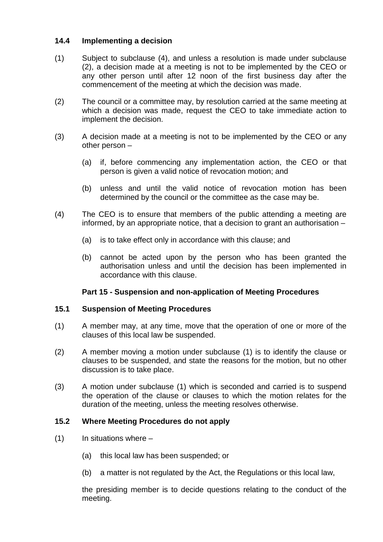# **14.4 Implementing a decision**

- (1) Subject to subclause (4), and unless a resolution is made under subclause (2), a decision made at a meeting is not to be implemented by the CEO or any other person until after 12 noon of the first business day after the commencement of the meeting at which the decision was made.
- (2) The council or a committee may, by resolution carried at the same meeting at which a decision was made, request the CEO to take immediate action to implement the decision.
- (3) A decision made at a meeting is not to be implemented by the CEO or any other person –
	- (a) if, before commencing any implementation action, the CEO or that person is given a valid notice of revocation motion; and
	- (b) unless and until the valid notice of revocation motion has been determined by the council or the committee as the case may be.
- (4) The CEO is to ensure that members of the public attending a meeting are informed, by an appropriate notice, that a decision to grant an authorisation –
	- (a) is to take effect only in accordance with this clause; and
	- (b) cannot be acted upon by the person who has been granted the authorisation unless and until the decision has been implemented in accordance with this clause.

### **Part 15 - Suspension and non-application of Meeting Procedures**

### **15.1 Suspension of Meeting Procedures**

- (1) A member may, at any time, move that the operation of one or more of the clauses of this local law be suspended.
- (2) A member moving a motion under subclause (1) is to identify the clause or clauses to be suspended, and state the reasons for the motion, but no other discussion is to take place.
- (3) A motion under subclause (1) which is seconded and carried is to suspend the operation of the clause or clauses to which the motion relates for the duration of the meeting, unless the meeting resolves otherwise.

### **15.2 Where Meeting Procedures do not apply**

- $(1)$  In situations where
	- (a) this local law has been suspended; or
	- (b) a matter is not regulated by the Act, the Regulations or this local law,

the presiding member is to decide questions relating to the conduct of the meeting.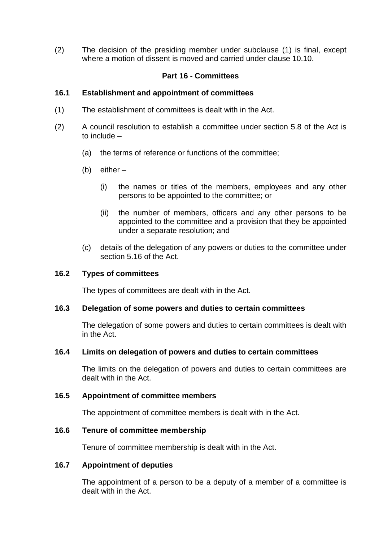(2) The decision of the presiding member under subclause (1) is final, except where a motion of dissent is moved and carried under clause 10.10.

# **Part 16 - Committees**

### **16.1 Establishment and appointment of committees**

- (1) The establishment of committees is dealt with in the Act.
- (2) A council resolution to establish a committee under section 5.8 of the Act is to include –
	- (a) the terms of reference or functions of the committee;
	- (b) either
		- (i) the names or titles of the members, employees and any other persons to be appointed to the committee; or
		- (ii) the number of members, officers and any other persons to be appointed to the committee and a provision that they be appointed under a separate resolution; and
	- (c) details of the delegation of any powers or duties to the committee under section 5.16 of the Act.

#### **16.2 Types of committees**

The types of committees are dealt with in the Act.

#### **16.3 Delegation of some powers and duties to certain committees**

The delegation of some powers and duties to certain committees is dealt with in the Act.

#### **16.4 Limits on delegation of powers and duties to certain committees**

The limits on the delegation of powers and duties to certain committees are dealt with in the Act.

#### **16.5 Appointment of committee members**

The appointment of committee members is dealt with in the Act.

#### **16.6 Tenure of committee membership**

Tenure of committee membership is dealt with in the Act.

#### **16.7 Appointment of deputies**

The appointment of a person to be a deputy of a member of a committee is dealt with in the Act.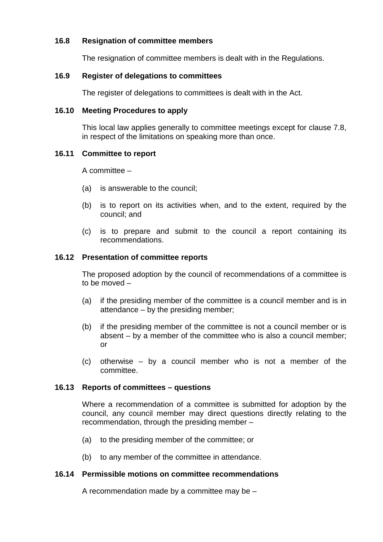# **16.8 Resignation of committee members**

The resignation of committee members is dealt with in the Regulations.

# **16.9 Register of delegations to committees**

The register of delegations to committees is dealt with in the Act.

### **16.10 Meeting Procedures to apply**

This local law applies generally to committee meetings except for clause 7.8, in respect of the limitations on speaking more than once.

# **16.11 Committee to report**

A committee –

- (a) is answerable to the council;
- (b) is to report on its activities when, and to the extent, required by the council; and
- (c) is to prepare and submit to the council a report containing its recommendations.

### **16.12 Presentation of committee reports**

The proposed adoption by the council of recommendations of a committee is to be moved –

- (a) if the presiding member of the committee is a council member and is in attendance – by the presiding member;
- (b) if the presiding member of the committee is not a council member or is absent – by a member of the committee who is also a council member; or
- (c) otherwise by a council member who is not a member of the committee.

# **16.13 Reports of committees – questions**

Where a recommendation of a committee is submitted for adoption by the council, any council member may direct questions directly relating to the recommendation, through the presiding member –

- (a) to the presiding member of the committee; or
- (b) to any member of the committee in attendance.

### **16.14 Permissible motions on committee recommendations**

A recommendation made by a committee may be –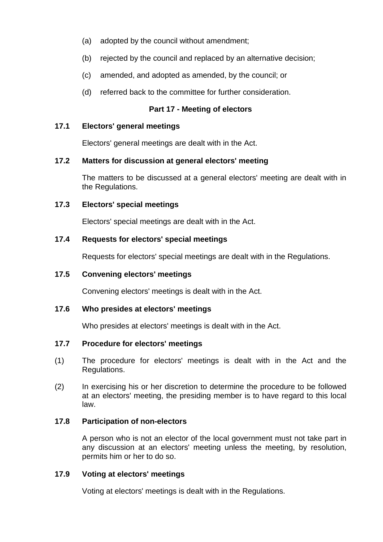- (a) adopted by the council without amendment;
- (b) rejected by the council and replaced by an alternative decision;
- (c) amended, and adopted as amended, by the council; or
- (d) referred back to the committee for further consideration.

# **Part 17 - Meeting of electors**

### **17.1 Electors' general meetings**

Electors' general meetings are dealt with in the Act.

### **17.2 Matters for discussion at general electors' meeting**

The matters to be discussed at a general electors' meeting are dealt with in the Regulations.

#### **17.3 Electors' special meetings**

Electors' special meetings are dealt with in the Act.

### **17.4 Requests for electors' special meetings**

Requests for electors' special meetings are dealt with in the Regulations.

### **17.5 Convening electors' meetings**

Convening electors' meetings is dealt with in the Act.

#### **17.6 Who presides at electors' meetings**

Who presides at electors' meetings is dealt with in the Act.

### **17.7 Procedure for electors' meetings**

- (1) The procedure for electors' meetings is dealt with in the Act and the Regulations.
- (2) In exercising his or her discretion to determine the procedure to be followed at an electors' meeting, the presiding member is to have regard to this local law.

### **17.8 Participation of non-electors**

A person who is not an elector of the local government must not take part in any discussion at an electors' meeting unless the meeting, by resolution, permits him or her to do so.

### **17.9 Voting at electors' meetings**

Voting at electors' meetings is dealt with in the Regulations.